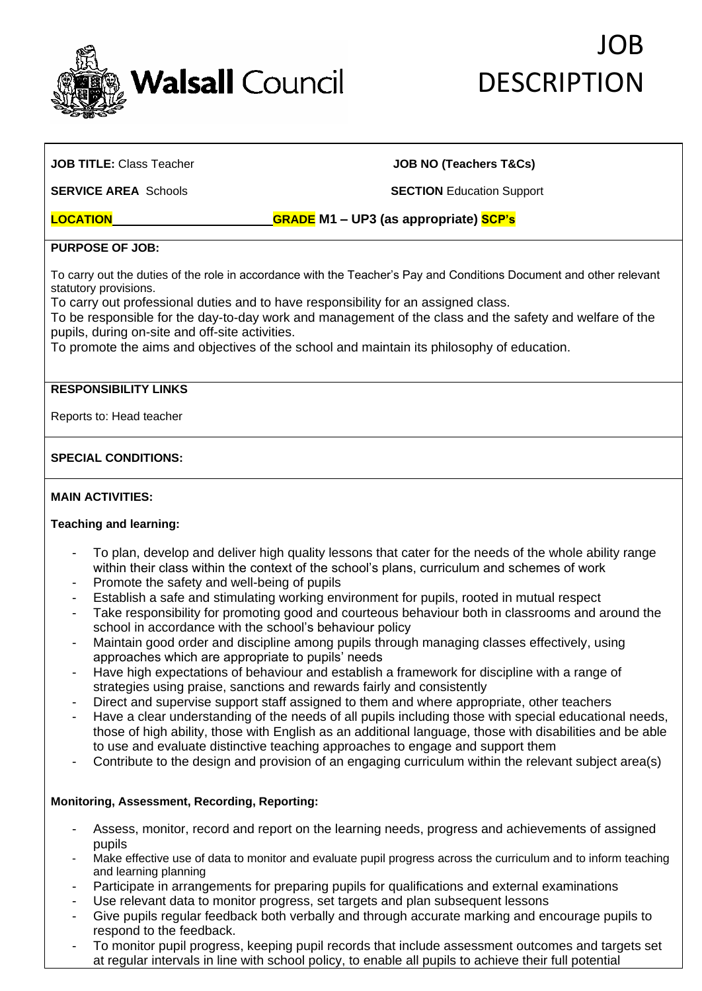

# JOB **DESCRIPTION**

#### **JOB TITLE:** Class Teacher **JOB NO (Teachers T&Cs)**

**SERVICE AREA** Schools **SECTION** Education Support

### **LOCATION GRADE M1 – UP3 (as appropriate) SCP's**

#### **PURPOSE OF JOB:**

To carry out the duties of the role in accordance with the Teacher's Pay and Conditions Document and other relevant statutory provisions.

To carry out professional duties and to have responsibility for an assigned class.

To be responsible for the day-to-day work and management of the class and the safety and welfare of the pupils, during on-site and off-site activities.

To promote the aims and objectives of the school and maintain its philosophy of education.

#### **RESPONSIBILITY LINKS**

Reports to: Head teacher

#### **SPECIAL CONDITIONS:**

#### **MAIN ACTIVITIES:**

#### **Teaching and learning:**

- To plan, develop and deliver high quality lessons that cater for the needs of the whole ability range within their class within the context of the school's plans, curriculum and schemes of work
- Promote the safety and well-being of pupils
- Establish a safe and stimulating working environment for pupils, rooted in mutual respect
- Take responsibility for promoting good and courteous behaviour both in classrooms and around the school in accordance with the school's behaviour policy
- Maintain good order and discipline among pupils through managing classes effectively, using approaches which are appropriate to pupils' needs
- Have high expectations of behaviour and establish a framework for discipline with a range of strategies using praise, sanctions and rewards fairly and consistently
- Direct and supervise support staff assigned to them and where appropriate, other teachers
- Have a clear understanding of the needs of all pupils including those with special educational needs, those of high ability, those with English as an additional language, those with disabilities and be able to use and evaluate distinctive teaching approaches to engage and support them
- Contribute to the design and provision of an engaging curriculum within the relevant subject area(s)

#### **Monitoring, Assessment, Recording, Reporting:**

- Assess, monitor, record and report on the learning needs, progress and achievements of assigned pupils
- Make effective use of data to monitor and evaluate pupil progress across the curriculum and to inform teaching and learning planning
- Participate in arrangements for preparing pupils for qualifications and external examinations
- Use relevant data to monitor progress, set targets and plan subsequent lessons
- Give pupils regular feedback both verbally and through accurate marking and encourage pupils to respond to the feedback.
- To monitor pupil progress, keeping pupil records that include assessment outcomes and targets set at regular intervals in line with school policy, to enable all pupils to achieve their full potential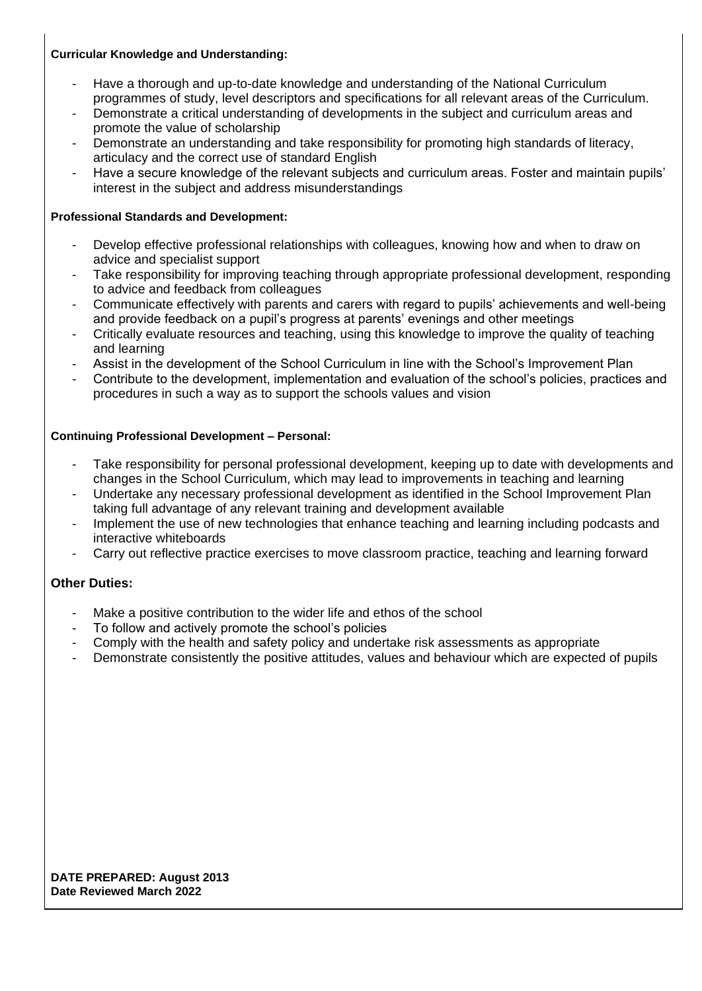#### **Curricular Knowledge and Understanding:**

- Have a thorough and up-to-date knowledge and understanding of the National Curriculum programmes of study, level descriptors and specifications for all relevant areas of the Curriculum.
- Demonstrate a critical understanding of developments in the subject and curriculum areas and promote the value of scholarship
- Demonstrate an understanding and take responsibility for promoting high standards of literacy, articulacy and the correct use of standard English
- Have a secure knowledge of the relevant subjects and curriculum areas. Foster and maintain pupils' interest in the subject and address misunderstandings

#### **Professional Standards and Development:**

- Develop effective professional relationships with colleagues, knowing how and when to draw on advice and specialist support
- Take responsibility for improving teaching through appropriate professional development, responding to advice and feedback from colleagues
- Communicate effectively with parents and carers with regard to pupils' achievements and well-being and provide feedback on a pupil's progress at parents' evenings and other meetings
- Critically evaluate resources and teaching, using this knowledge to improve the quality of teaching and learning
- Assist in the development of the School Curriculum in line with the School's Improvement Plan
- Contribute to the development, implementation and evaluation of the school's policies, practices and procedures in such a way as to support the schools values and vision

#### **Continuing Professional Development – Personal:**

- Take responsibility for personal professional development, keeping up to date with developments and changes in the School Curriculum, which may lead to improvements in teaching and learning
- Undertake any necessary professional development as identified in the School Improvement Plan taking full advantage of any relevant training and development available
- Implement the use of new technologies that enhance teaching and learning including podcasts and interactive whiteboards
- Carry out reflective practice exercises to move classroom practice, teaching and learning forward

### **Other Duties:**

- Make a positive contribution to the wider life and ethos of the school
- To follow and actively promote the school's policies
- Comply with the health and safety policy and undertake risk assessments as appropriate
- Demonstrate consistently the positive attitudes, values and behaviour which are expected of pupils